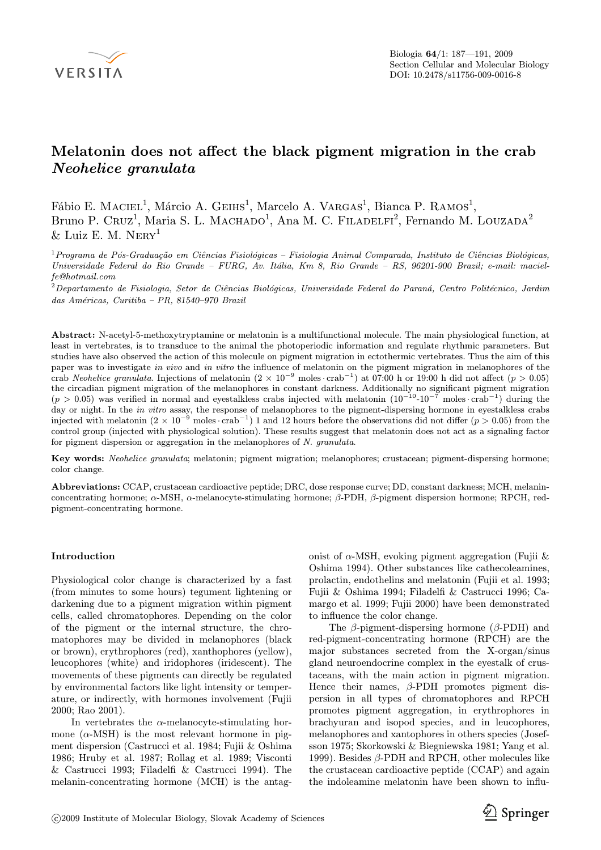

# Melatonin does not affect the black pigment migration in the crab Neohelice granulata

Fábio E. MACIEL<sup>1</sup>, Márcio A. GEIHS<sup>1</sup>, Marcelo A. VARGAS<sup>1</sup>, Bianca P. RAMOS<sup>1</sup>, Bruno P. Cruz<sup>1</sup>, Maria S. L. MACHADO<sup>1</sup>, Ana M. C. FILADELFI<sup>2</sup>, Fernando M. LOUZADA<sup>2</sup>  $&$  Luiz E. M.  $NERY<sup>1</sup>$ 

 $1$ Programa de Pós-Graduação em Ciências Fisiológicas – Fisiologia Animal Comparada, Instituto de Ciências Biológicas, Universidade Federal do Rio Grande – FURG, Av. Itália, Km 8, Rio Grande – RS, 96201-900 Brazil; e-mail: macielfe@hotmail.com

 $2$ Departamento de Fisiologia, Setor de Ciências Biológicas, Universidade Federal do Paraná, Centro Politécnico, Jardim das Américas, Curitiba – PR, 81540–970 Brazil

Abstract: N-acetyl-5-methoxytryptamine or melatonin is a multifunctional molecule. The main physiological function, at least in vertebrates, is to transduce to the animal the photoperiodic information and regulate rhythmic parameters. But studies have also observed the action of this molecule on pigment migration in ectothermic vertebrates. Thus the aim of this paper was to investigate in vivo and in vitro the influence of melatonin on the pigment migration in melanophores of the crab Neohelice granulata. Injections of melatonin  $(2 \times 10^{-9} \text{ moles} \cdot \text{crab}^{-1})$  at 07:00 h or 19:00 h did not affect  $(p > 0.05)$ the circadian pigment migration of the melanophores in constant darkness. Additionally no significant pigment migration (p > 0.05) was verified in normal and eyestalkless crabs injected with melatonin (10−<sup>10</sup>-10−<sup>7</sup> moles *·* crab−<sup>1</sup>) during the day or night. In the in vitro assay, the response of melanophores to the pigment-dispersing hormone in eyestalkless crabs injected with melatonin  $(2 \times 10^{-9} \text{ moles} \cdot \text{crab}^{-1})$  1 and 12 hours before the observations did not differ  $(p > 0.05)$  from the control group (injected with physiological solution). These results suggest that melatonin does not act as a signaling factor for pigment dispersion or aggregation in the melanophores of N. granulata.

Key words: Neohelice granulata; melatonin; pigment migration; melanophores; crustacean; pigment-dispersing hormone; color change.

Abbreviations: CCAP, crustacean cardioactive peptide; DRC, dose response curve; DD, constant darkness; MCH, melaninconcentrating hormone; α-MSH, α-melanocyte-stimulating hormone; β-PDH, β-pigment dispersion hormone; RPCH, redpigment-concentrating hormone.

## Introduction

Physiological color change is characterized by a fast (from minutes to some hours) tegument lightening or darkening due to a pigment migration within pigment cells, called chromatophores. Depending on the color of the pigment or the internal structure, the chromatophores may be divided in melanophores (black or brown), erythrophores (red), xanthophores (yellow), leucophores (white) and iridophores (iridescent). The movements of these pigments can directly be regulated by environmental factors like light intensity or temperature, or indirectly, with hormones involvement (Fujii 2000; Rao 2001).

In vertebrates the  $\alpha$ -melanocyte-stimulating hormone  $(\alpha$ -MSH) is the most relevant hormone in pigment dispersion (Castrucci et al. 1984; Fujii & Oshima 1986; Hruby et al. 1987; Rollag et al. 1989; Visconti & Castrucci 1993; Filadelfi & Castrucci 1994). The melanin-concentrating hormone (MCH) is the antagonist of  $\alpha$ -MSH, evoking pigment aggregation (Fujii & Oshima 1994). Other substances like cathecoleamines, prolactin, endothelins and melatonin (Fujii et al. 1993; Fujii & Oshima 1994; Filadelfi & Castrucci 1996; Camargo et al. 1999; Fujii 2000) have been demonstrated to influence the color change.

The  $\beta$ -pigment-dispersing hormone ( $\beta$ -PDH) and red-pigment-concentrating hormone (RPCH) are the major substances secreted from the X-organ/sinus gland neuroendocrine complex in the eyestalk of crustaceans, with the main action in pigment migration. Hence their names,  $\beta$ -PDH promotes pigment dispersion in all types of chromatophores and RPCH promotes pigment aggregation, in erythrophores in brachyuran and isopod species, and in leucophores, melanophores and xantophores in others species (Josefsson 1975; Skorkowski & Biegniewska 1981; Yang et al. 1999). Besides β-PDH and RPCH, other molecules like the crustacean cardioactive peptide (CCAP) and again the indoleamine melatonin have been shown to influ-

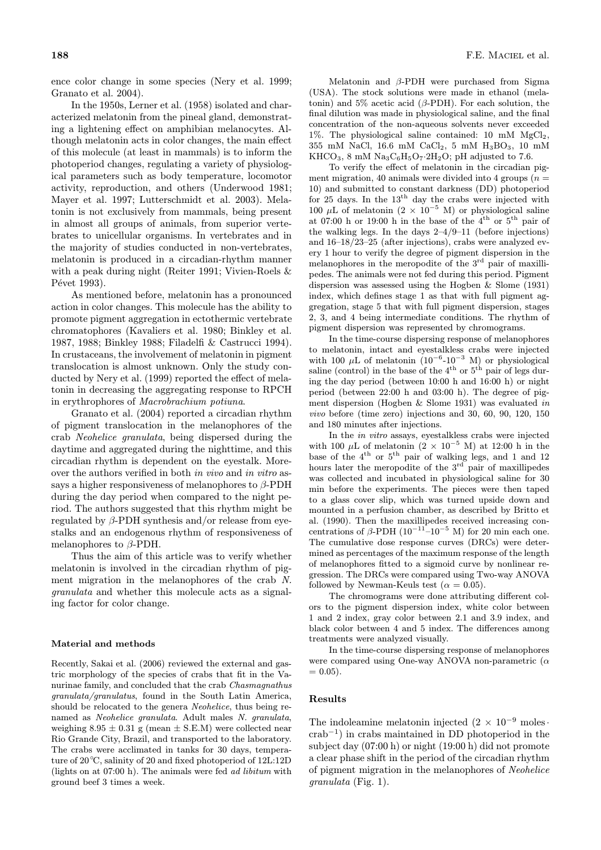ence color change in some species (Nery et al. 1999; Granato et al. 2004).

In the 1950s, Lerner et al. (1958) isolated and characterized melatonin from the pineal gland, demonstrating a lightening effect on amphibian melanocytes. Although melatonin acts in color changes, the main effect of this molecule (at least in mammals) is to inform the photoperiod changes, regulating a variety of physiological parameters such as body temperature, locomotor activity, reproduction, and others (Underwood 1981; Mayer et al. 1997; Lutterschmidt et al. 2003). Melatonin is not exclusively from mammals, being present in almost all groups of animals, from superior vertebrates to unicellular organisms. In vertebrates and in the majority of studies conducted in non-vertebrates, melatonin is produced in a circadian-rhythm manner with a peak during night (Reiter 1991; Vivien-Roels & Pévet 1993).

As mentioned before, melatonin has a pronounced action in color changes. This molecule has the ability to promote pigment aggregation in ectothermic vertebrate chromatophores (Kavaliers et al. 1980; Binkley et al. 1987, 1988; Binkley 1988; Filadelfi & Castrucci 1994). In crustaceans, the involvement of melatonin in pigment translocation is almost unknown. Only the study conducted by Nery et al. (1999) reported the effect of melatonin in decreasing the aggregating response to RPCH in erythrophores of Macrobrachium potiuna.

Granato et al. (2004) reported a circadian rhythm of pigment translocation in the melanophores of the crab Neohelice granulata, being dispersed during the daytime and aggregated during the nighttime, and this circadian rhythm is dependent on the eyestalk. Moreover the authors verified in both in vivo and in vitro assays a higher responsiveness of melanophores to  $\beta$ -PDH during the day period when compared to the night period. The authors suggested that this rhythm might be regulated by β-PDH synthesis and/or release from eyestalks and an endogenous rhythm of responsiveness of melanophores to  $\beta$ -PDH.

Thus the aim of this article was to verify whether melatonin is involved in the circadian rhythm of pigment migration in the melanophores of the crab N. granulata and whether this molecule acts as a signaling factor for color change.

### Material and methods

Recently, Sakai et al. (2006) reviewed the external and gastric morphology of the species of crabs that fit in the Vanurinae family, and concluded that the crab Chasmagnathus granulata/granulatus, found in the South Latin America, should be relocated to the genera Neohelice, thus being renamed as Neohelice granulata. Adult males N. granulata, weighing  $8.95 \pm 0.31$  g (mean  $\pm$  S.E.M) were collected near Rio Grande City, Brazil, and transported to the laboratory. The crabs were acclimated in tanks for 30 days, temperature of 20◦ C, salinity of 20 and fixed photoperiod of 12L:12D (lights on at 07:00 h). The animals were fed ad libitum with ground beef 3 times a week.

Melatonin and  $\beta$ -PDH were purchased from Sigma (USA). The stock solutions were made in ethanol (melatonin) and  $5\%$  acetic acid ( $\beta$ -PDH). For each solution, the final dilution was made in physiological saline, and the final concentration of the non-aqueous solvents never exceeded 1%. The physiological saline contained: 10 mM  $MgCl<sub>2</sub>$ , 355 mM NaCl, 16.6 mM CaCl2, 5 mM H3BO3, 10 mM KHCO<sub>3</sub>, 8 mM  $\text{Na}_3\text{C}_6\text{H}_5\text{O}_7$ ·2H<sub>2</sub>O; pH adjusted to 7.6.

To verify the effect of melatonin in the circadian pigment migration, 40 animals were divided into 4 groups  $(n =$ 10) and submitted to constant darkness (DD) photoperiod for 25 days. In the 13<sup>th</sup> day the crabs were injected with 100 µL of melatonin (2  $\times$  10<sup>-5</sup> M) or physiological saline at 07:00 h or 19:00 h in the base of the  $4^{\text{th}}$  or  $5^{\text{th}}$  pair of the walking legs. In the days 2–4/9–11 (before injections) and 16–18/23–25 (after injections), crabs were analyzed every 1 hour to verify the degree of pigment dispersion in the melanophores in the meropodite of the  $3<sup>rd</sup>$  pair of maxillipedes. The animals were not fed during this period. Pigment dispersion was assessed using the Hogben & Slome (1931) index, which defines stage 1 as that with full pigment aggregation, stage 5 that with full pigment dispersion, stages 2, 3, and 4 being intermediate conditions. The rhythm of pigment dispersion was represented by chromograms.

In the time-course dispersing response of melanophores to melatonin, intact and eyestalkless crabs were injected with 100  $\mu$ L of melatonin (10<sup>-6</sup>-10<sup>-3</sup> M) or physiological saline (control) in the base of the  $4^{\text{th}}$  or  $5^{\text{th}}$  pair of legs during the day period (between 10:00 h and 16:00 h) or night period (between 22:00 h and 03:00 h). The degree of pigment dispersion (Hogben & Slome 1931) was evaluated in vivo before (time zero) injections and 30, 60, 90, 120, 150 and 180 minutes after injections.

In the in vitro assays, eyestalkless crabs were injected with 100  $\mu$ L of melatonin (2 × 10<sup>-5</sup> M) at 12:00 h in the base of the 4th or 5th pair of walking legs, and 1 and 12 hours later the meropodite of the  $3<sup>rd</sup>$  pair of maxillipedes was collected and incubated in physiological saline for 30 min before the experiments. The pieces were then taped to a glass cover slip, which was turned upside down and mounted in a perfusion chamber, as described by Britto et al. (1990). Then the maxillipedes received increasing concentrations of  $\beta$ -PDH (10<sup>-11</sup>–10<sup>-5</sup> M) for 20 min each one. The cumulative dose response curves (DRCs) were determined as percentages of the maximum response of the length of melanophores fitted to a sigmoid curve by nonlinear regression. The DRCs were compared using Two-way ANOVA followed by Newman-Keuls test ( $\alpha = 0.05$ ).

The chromograms were done attributing different colors to the pigment dispersion index, white color between 1 and 2 index, gray color between 2.1 and 3.9 index, and black color between 4 and 5 index. The differences among treatments were analyzed visually.

In the time-course dispersing response of melanophores were compared using One-way ANOVA non-parametric  $(\alpha)$  $= 0.05$ ).

#### Results

The indoleamine melatonin injected  $(2 \times 10^{-9} \text{ moles} \cdot$ crab*−*<sup>1</sup>) in crabs maintained in DD photoperiod in the subject day (07:00 h) or night (19:00 h) did not promote a clear phase shift in the period of the circadian rhythm of pigment migration in the melanophores of Neohelice  $granulata$  (Fig. 1).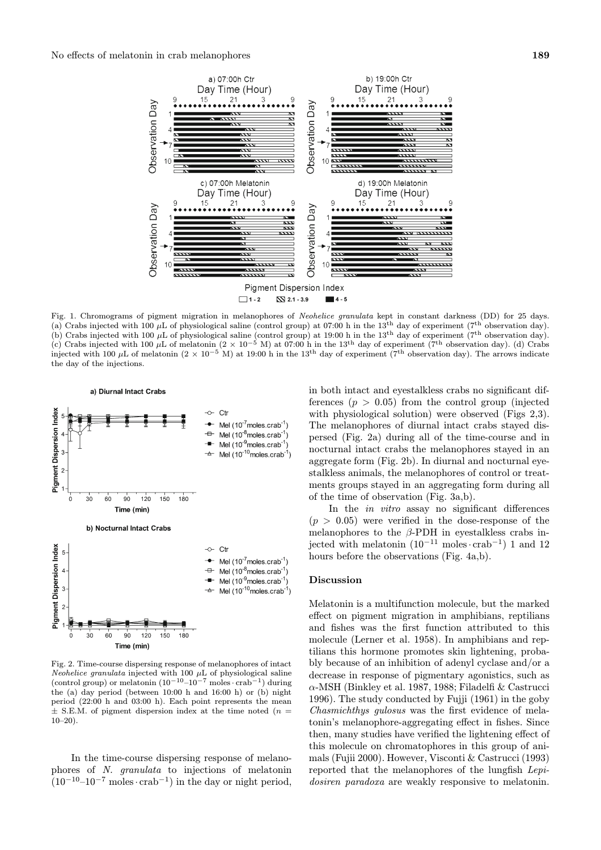

Fig. 1. Chromograms of pigment migration in melanophores of Neohelice granulata kept in constant darkness (DD) for 25 days. (a) Crabs injected with 100  $\mu$ L of physiological saline (control group) at 07:00 h in the 13<sup>th</sup> day of experiment (7<sup>th</sup> observation day). (b) Crabs injected with 100  $\mu$ L of physiological saline (control group) at 19:00 h in the 13<sup>th</sup> day of experiment (7<sup>th</sup> observation day). (c) Crabs injected with 100 µL of melatonin  $(2 \times 10^{-5}$  M) at 07:00 h in the 13<sup>th</sup> day of experiment (7<sup>th</sup> observation day). (d) Crabs injected with 100 µL of melatonin  $(2 \times 10^{-5}$  M) at 19:00 h in the 13<sup>th</sup> day of experiment (7<sup>th</sup> observation day). The arrows indicate the day of the injections.



Fig. 2. Time-course dispersing response of melanophores of intact Neohelice granulata injected with 100  $\mu$ L of physiological saline (control group) or melatonin  $(10^{-10}-10^{-7} \text{ moles} \cdot \text{crab}^{-1})$  during the (a) day period (between 10:00 h and 16:00 h) or (b) night period (22:00 h and 03:00 h). Each point represents the mean  $\pm$  S.E.M. of pigment dispersion index at the time noted ( $n =$  $10-20$ ).

In the time-course dispersing response of melanophores of N. granulata to injections of melatonin (10*−*<sup>10</sup>–10*−*<sup>7</sup> moles· crab*−*<sup>1</sup>) in the day or night period, in both intact and eyestalkless crabs no significant differences  $(p > 0.05)$  from the control group (injected with physiological solution) were observed (Figs 2,3). The melanophores of diurnal intact crabs stayed dispersed (Fig. 2a) during all of the time-course and in nocturnal intact crabs the melanophores stayed in an aggregate form (Fig. 2b). In diurnal and nocturnal eyestalkless animals, the melanophores of control or treatments groups stayed in an aggregating form during all of the time of observation (Fig. 3a,b).

In the in vitro assay no significant differences  $(p > 0.05)$  were verified in the dose-response of the melanophores to the  $\beta$ -PDH in eyestalkless crabs injected with melatonin (10*−*<sup>11</sup> moles· crab*−*<sup>1</sup>) 1 and 12 hours before the observations (Fig. 4a,b).

#### Discussion

Melatonin is a multifunction molecule, but the marked effect on pigment migration in amphibians, reptilians and fishes was the first function attributed to this molecule (Lerner et al. 1958). In amphibians and reptilians this hormone promotes skin lightening, probably because of an inhibition of adenyl cyclase and/or a decrease in response of pigmentary agonistics, such as  $\alpha$ -MSH (Binkley et al. 1987, 1988; Filadelfi & Castrucci 1996). The study conducted by Fujji (1961) in the goby Chasmichthys gulosus was the first evidence of melatonin's melanophore-aggregating effect in fishes. Since then, many studies have verified the lightening effect of this molecule on chromatophores in this group of animals (Fujii 2000). However, Visconti & Castrucci (1993) reported that the melanophores of the lungfish Lepidosiren paradoxa are weakly responsive to melatonin.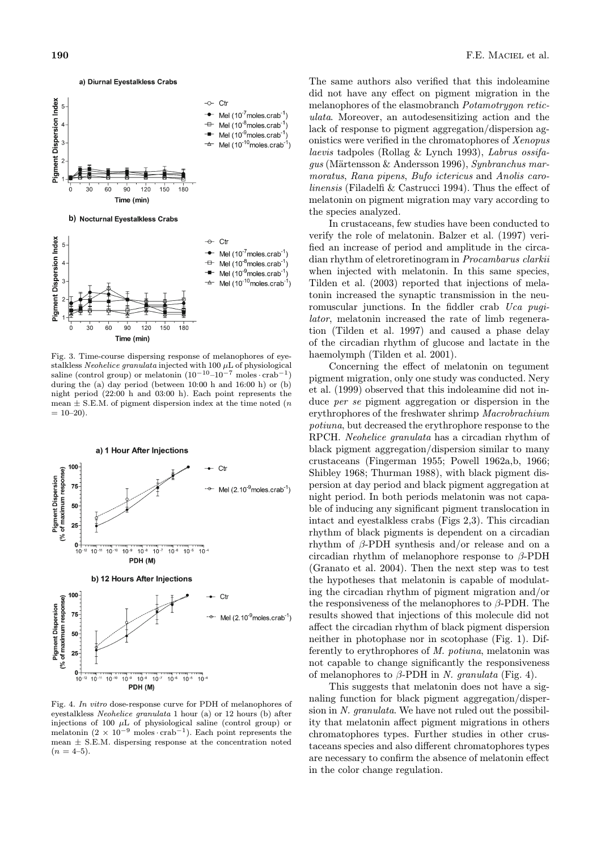

Fig. 3. Time-course dispersing response of melanophores of eyestalkless Neohelice granulata injected with 100  $\mu$ L of physiological saline (control group) or melatonin  $(10^{-10}-10^{-7} \text{ moles} \cdot \text{crab}^{-1})$ during the (a) day period (between 10:00 h and 16:00 h) or (b) night period (22:00 h and 03:00 h). Each point represents the mean  $\pm$  S.E.M. of pigment dispersion index at the time noted (*n*  $= 10-20.$ 



Fig. 4. In vitro dose-response curve for PDH of melanophores of eyestalkless Neohelice granulata 1 hour (a) or 12 hours (b) after injections of 100  $\mu$ L of physiological saline (control group) or melatonin (2 *<sup>×</sup>* <sup>10</sup>−<sup>9</sup> moles *·* crab−1). Each point represents the mean *±* S.E.M. dispersing response at the concentration noted  $(n = 4-5)$ .

The same authors also verified that this indoleamine did not have any effect on pigment migration in the melanophores of the elasmobranch Potamotrygon reticulata. Moreover, an autodesensitizing action and the lack of response to pigment aggregation/dispersion agonistics were verified in the chromatophores of Xenopus laevis tadpoles (Rollag & Lynch 1993), Labrus ossifa $gus$  (Märtensson & Andersson 1996), Synbranchus marmoratus, Rana pipens, Bufo ictericus and Anolis carolinensis (Filadelfi & Castrucci 1994). Thus the effect of melatonin on pigment migration may vary according to the species analyzed.

In crustaceans, few studies have been conducted to verify the role of melatonin. Balzer et al. (1997) verified an increase of period and amplitude in the circadian rhythm of eletroretinogram in Procambarus clarkii when injected with melatonin. In this same species, Tilden et al. (2003) reported that injections of melatonin increased the synaptic transmission in the neuromuscular junctions. In the fiddler crab Uca pugilator, melatonin increased the rate of limb regeneration (Tilden et al. 1997) and caused a phase delay of the circadian rhythm of glucose and lactate in the haemolymph (Tilden et al. 2001).

Concerning the effect of melatonin on tegument pigment migration, only one study was conducted. Nery et al. (1999) observed that this indoleamine did not induce *per se* pigment aggregation or dispersion in the erythrophores of the freshwater shrimp Macrobrachium potiuna, but decreased the erythrophore response to the RPCH. Neohelice granulata has a circadian rhythm of black pigment aggregation/dispersion similar to many crustaceans (Fingerman 1955; Powell 1962a,b, 1966; Shibley 1968; Thurman 1988), with black pigment dispersion at day period and black pigment aggregation at night period. In both periods melatonin was not capable of inducing any significant pigment translocation in intact and eyestalkless crabs (Figs 2,3). This circadian rhythm of black pigments is dependent on a circadian rhythm of  $\beta$ -PDH synthesis and/or release and on a circadian rhythm of melanophore response to  $\beta$ -PDH (Granato et al. 2004). Then the next step was to test the hypotheses that melatonin is capable of modulating the circadian rhythm of pigment migration and/or the responsiveness of the melanophores to β-PDH. The results showed that injections of this molecule did not affect the circadian rhythm of black pigment dispersion neither in photophase nor in scotophase (Fig. 1). Differently to erythrophores of M. potiuna, melatonin was not capable to change significantly the responsiveness of melanophores to  $\beta$ -PDH in N. granulata (Fig. 4).

This suggests that melatonin does not have a signaling function for black pigment aggregation/dispersion in N. granulata. We have not ruled out the possibility that melatonin affect pigment migrations in others chromatophores types. Further studies in other crustaceans species and also different chromatophores types are necessary to confirm the absence of melatonin effect in the color change regulation.